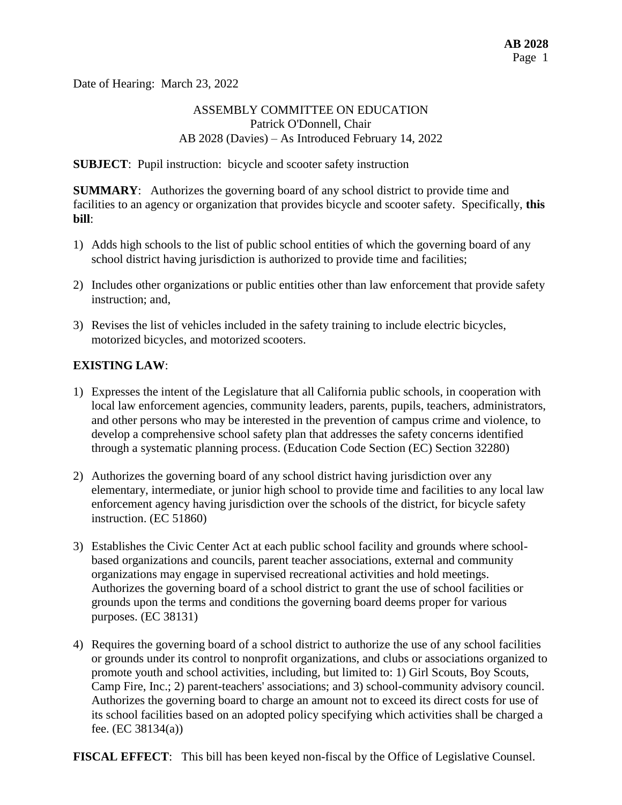Date of Hearing: March 23, 2022

### ASSEMBLY COMMITTEE ON EDUCATION Patrick O'Donnell, Chair AB 2028 (Davies) – As Introduced February 14, 2022

**SUBJECT**: Pupil instruction: bicycle and scooter safety instruction

**SUMMARY**: Authorizes the governing board of any school district to provide time and facilities to an agency or organization that provides bicycle and scooter safety. Specifically, **this bill**:

- 1) Adds high schools to the list of public school entities of which the governing board of any school district having jurisdiction is authorized to provide time and facilities;
- 2) Includes other organizations or public entities other than law enforcement that provide safety instruction; and,
- 3) Revises the list of vehicles included in the safety training to include electric bicycles, motorized bicycles, and motorized scooters.

# **EXISTING LAW**:

- 1) Expresses the intent of the Legislature that all California public schools, in cooperation with local law enforcement agencies, community leaders, parents, pupils, teachers, administrators, and other persons who may be interested in the prevention of campus crime and violence, to develop a comprehensive school safety plan that addresses the safety concerns identified through a systematic planning process. (Education Code Section (EC) Section 32280)
- 2) Authorizes the governing board of any school district having jurisdiction over any elementary, intermediate, or junior high school to provide time and facilities to any local law enforcement agency having jurisdiction over the schools of the district, for bicycle safety instruction. (EC 51860)
- 3) Establishes the Civic Center Act at each public school facility and grounds where schoolbased organizations and councils, parent teacher associations, external and community organizations may engage in supervised recreational activities and hold meetings. Authorizes the governing board of a school district to grant the use of school facilities or grounds upon the terms and conditions the governing board deems proper for various purposes. (EC 38131)
- 4) Requires the governing board of a school district to authorize the use of any school facilities or grounds under its control to nonprofit organizations, and clubs or associations organized to promote youth and school activities, including, but limited to: 1) Girl Scouts, Boy Scouts, Camp Fire, Inc.; 2) parent-teachers' associations; and 3) school-community advisory council. Authorizes the governing board to charge an amount not to exceed its direct costs for use of its school facilities based on an adopted policy specifying which activities shall be charged a fee. (EC 38134(a))

**FISCAL EFFECT**: This bill has been keyed non-fiscal by the Office of Legislative Counsel.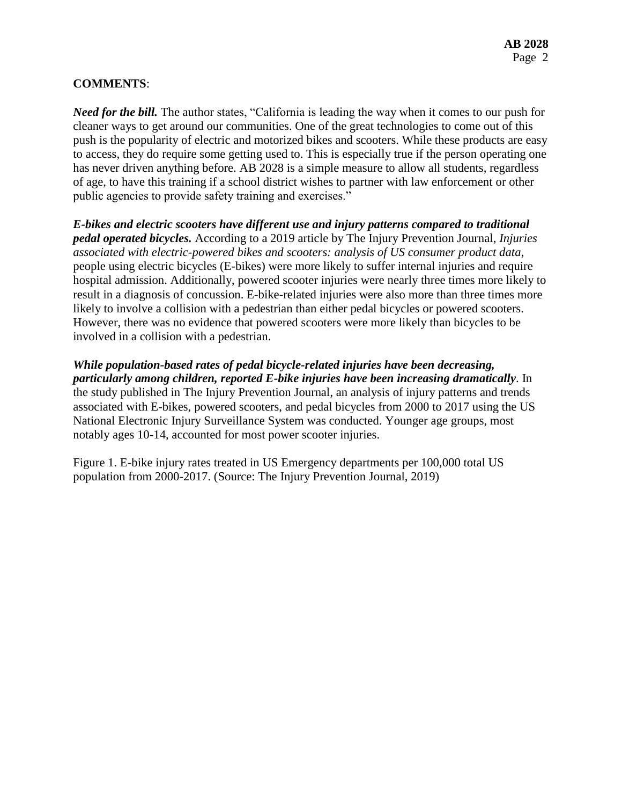### **COMMENTS**:

*Need for the bill.* The author states, "California is leading the way when it comes to our push for cleaner ways to get around our communities. One of the great technologies to come out of this push is the popularity of electric and motorized bikes and scooters. While these products are easy to access, they do require some getting used to. This is especially true if the person operating one has never driven anything before. AB 2028 is a simple measure to allow all students, regardless of age, to have this training if a school district wishes to partner with law enforcement or other public agencies to provide safety training and exercises."

*E-bikes and electric scooters have different use and injury patterns compared to traditional pedal operated bicycles.* According to a 2019 article by The Injury Prevention Journal, *Injuries associated with electric-powered bikes and scooters: analysis of US consumer product data*, people using electric bicycles (E-bikes) were more likely to suffer internal injuries and require hospital admission. Additionally, powered scooter injuries were nearly three times more likely to result in a diagnosis of concussion. E-bike-related injuries were also more than three times more likely to involve a collision with a pedestrian than either pedal bicycles or powered scooters. However, there was no evidence that powered scooters were more likely than bicycles to be involved in a collision with a pedestrian.

*While population-based rates of pedal bicycle-related injuries have been decreasing, particularly among children, reported E-bike injuries have been increasing dramatically*. In the study published in The Injury Prevention Journal, an analysis of injury patterns and trends associated with E-bikes, powered scooters, and pedal bicycles from 2000 to 2017 using the US National Electronic Injury Surveillance System was conducted. Younger age groups, most notably ages 10-14, accounted for most power scooter injuries.

Figure 1. E-bike injury rates treated in US Emergency departments per 100,000 total US population from 2000-2017. (Source: The Injury Prevention Journal, 2019)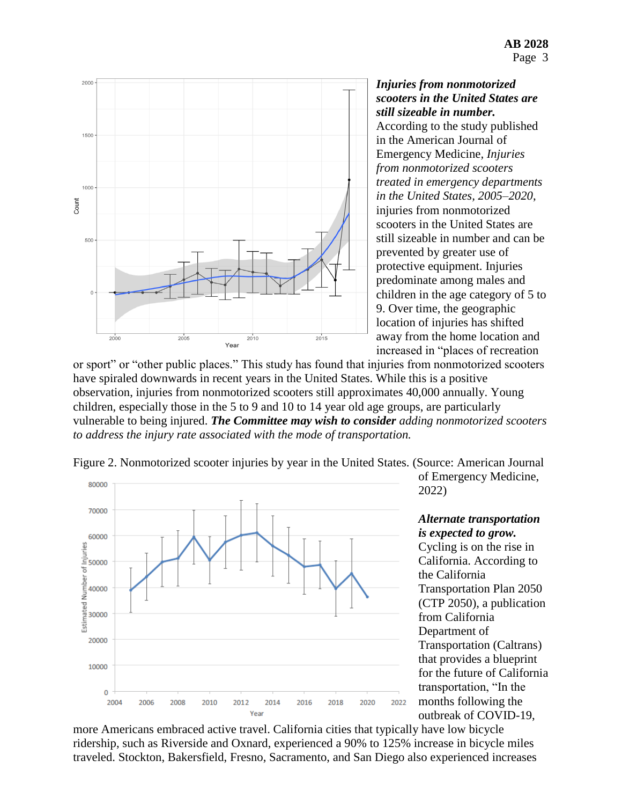

*Injuries from nonmotorized scooters in the United States are still sizeable in number.*  According to the study published in the American Journal of Emergency Medicine*, Injuries from nonmotorized scooters treated in emergency departments in the United States, 2005–2020*, injuries from nonmotorized scooters in the United States are still sizeable in number and can be prevented by greater use of protective equipment. Injuries predominate among males and children in the age category of 5 to 9. Over time, the geographic location of injuries has shifted away from the home location and increased in "places of recreation

or sport" or "other public places." This study has found that injuries from nonmotorized scooters have spiraled downwards in recent years in the United States. While this is a positive observation, injuries from nonmotorized scooters still approximates 40,000 annually. Young children, especially those in the 5 to 9 and 10 to 14 year old age groups, are particularly vulnerable to being injured. *The Committee may wish to consider adding nonmotorized scooters to address the injury rate associated with the mode of transportation.* 



Figure 2. Nonmotorized scooter injuries by year in the United States. (Source: American Journal

of Emergency Medicine, 2022)

*Alternate transportation is expected to grow.*  Cycling is on the rise in California. According to the California Transportation Plan 2050 (CTP 2050), a publication from California Department of Transportation (Caltrans) that provides a blueprint for the future of California transportation, "In the months following the outbreak of COVID-19,

more Americans embraced active travel. California cities that typically have low bicycle ridership, such as Riverside and Oxnard, experienced a 90% to 125% increase in bicycle miles traveled. Stockton, Bakersfield, Fresno, Sacramento, and San Diego also experienced increases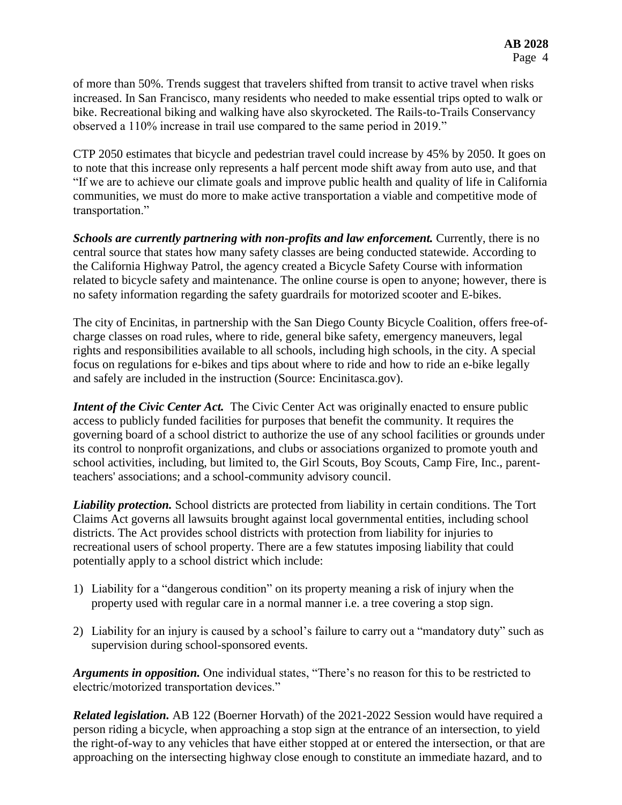of more than 50%. Trends suggest that travelers shifted from transit to active travel when risks increased. In San Francisco, many residents who needed to make essential trips opted to walk or bike. Recreational biking and walking have also skyrocketed. The Rails-to-Trails Conservancy observed a 110% increase in trail use compared to the same period in 2019."

CTP 2050 estimates that bicycle and pedestrian travel could increase by 45% by 2050. It goes on to note that this increase only represents a half percent mode shift away from auto use, and that "If we are to achieve our climate goals and improve public health and quality of life in California communities, we must do more to make active transportation a viable and competitive mode of transportation."

**Schools are currently partnering with non-profits and law enforcement.** Currently, there is no central source that states how many safety classes are being conducted statewide. According to the California Highway Patrol, the agency created a Bicycle Safety Course with information related to bicycle safety and maintenance. The online course is open to anyone; however, there is no safety information regarding the safety guardrails for motorized scooter and E-bikes.

The city of Encinitas, in partnership with the San Diego County Bicycle Coalition, offers free-ofcharge classes on road rules, where to ride, general bike safety, emergency maneuvers, legal rights and responsibilities available to all schools, including high schools, in the city. A special focus on regulations for e-bikes and tips about where to ride and how to ride an e-bike legally and safely are included in the instruction (Source: Encinitasca.gov).

*Intent of the Civic Center Act.* The Civic Center Act was originally enacted to ensure public access to publicly funded facilities for purposes that benefit the community. It requires the governing board of a school district to authorize the use of any school facilities or grounds under its control to nonprofit organizations, and clubs or associations organized to promote youth and school activities, including, but limited to, the Girl Scouts, Boy Scouts, Camp Fire, Inc., parentteachers' associations; and a school-community advisory council.

*Liability protection.* School districts are protected from liability in certain conditions. The Tort Claims Act governs all lawsuits brought against local governmental entities, including school districts. The Act provides school districts with protection from liability for injuries to recreational users of school property. There are a few statutes imposing liability that could potentially apply to a school district which include:

- 1) Liability for a "dangerous condition" on its property meaning a risk of injury when the property used with regular care in a normal manner i.e. a tree covering a stop sign.
- 2) Liability for an injury is caused by a school's failure to carry out a "mandatory duty" such as supervision during school-sponsored events.

*Arguments in opposition.* One individual states, "There's no reason for this to be restricted to electric/motorized transportation devices."

*Related legislation.* AB 122 (Boerner Horvath) of the 2021-2022 Session would have required a person riding a bicycle, when approaching a stop sign at the entrance of an intersection, to yield the right-of-way to any vehicles that have either stopped at or entered the intersection, or that are approaching on the intersecting highway close enough to constitute an immediate hazard, and to